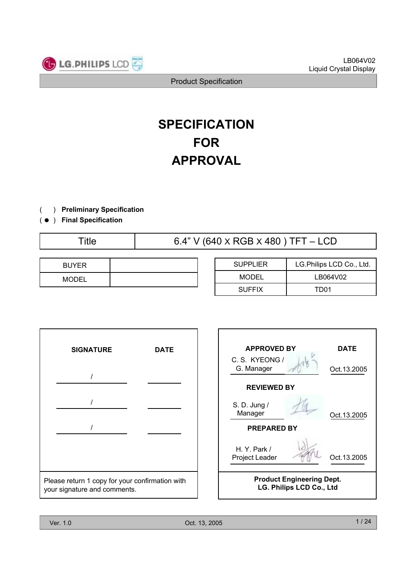

# **SPECIFICATION FOR APPROVAL**

- ) **Preliminary Specification**  $\left($
- ) ( **Final Specification**

Title 6.4" V (640 X RGB X 480 ) TFT – LCD

| <b>BUYER</b> |  |
|--------------|--|
| <b>MODEL</b> |  |

| <b>SUPPLIER</b> | LG. Philips LCD Co., Ltd. |
|-----------------|---------------------------|
| MODEL           | LB064V02                  |
| <b>SUFFIX</b>   | TD01                      |

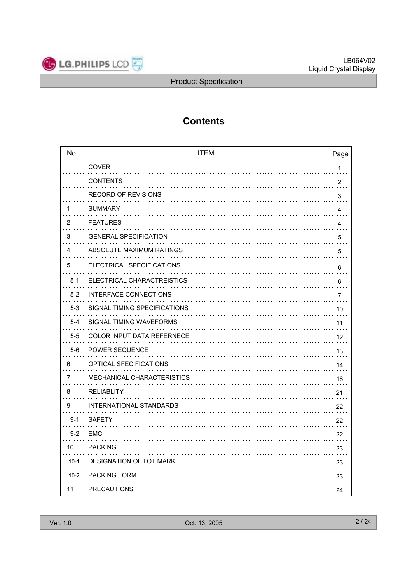

## **Contents**

| No      | <b>ITEM</b><br>Page               |                         |
|---------|-----------------------------------|-------------------------|
|         | <b>COVER</b>                      | 1                       |
|         | <b>CONTENTS</b><br>.              | $\overline{2}$          |
|         | <b>RECORD OF REVISIONS</b>        | 3                       |
| 1       | <b>SUMMARY</b>                    | $\overline{\mathbf{4}}$ |
| 2       | <b>FEATURES</b>                   | 4                       |
| 3       | <b>GENERAL SPECIFICATION</b>      | 5                       |
| 4       | ABSOLUTE MAXIMUM RATINGS          | 5                       |
| 5       | ELECTRICAL SPECIFICATIONS         | 6                       |
| $5 - 1$ | ELECTRICAL CHARACTREISTICS        | 6                       |
| $5 - 2$ | INTERFACE CONNECTIONS             | $\overline{7}$          |
| $5-3$   | SIGNAL TIMING SPECIFICATIONS      | 10                      |
| $5 - 4$ | SIGNAL TIMING WAVEFORMS           | 11                      |
| $5-5$   | <b>COLOR INPUT DATA REFERNECE</b> | 12                      |
| $5-6$   | <b>POWER SEQUENCE</b>             | 13                      |
| 6       | OPTICAL SFECIFICATIONS            | 14                      |
| 7       | MECHANICAL CHARACTERISTICS        | 18                      |
| 8       | <b>RELIABLITY</b>                 | 21                      |
| 9       | INTERNATIONAL STANDARDS           | 22                      |
| $9 - 1$ | <b>SAFETY</b>                     | 22                      |
| $9 - 2$ | EMC                               | 22                      |
| 10      | <b>PACKING</b>                    | 23                      |
| $10-1$  | DESIGNATION OF LOT MARK           | 23                      |
| $10-2$  | <b>PACKING FORM</b>               | 23                      |
| 11      | <b>PRECAUTIONS</b>                | 24                      |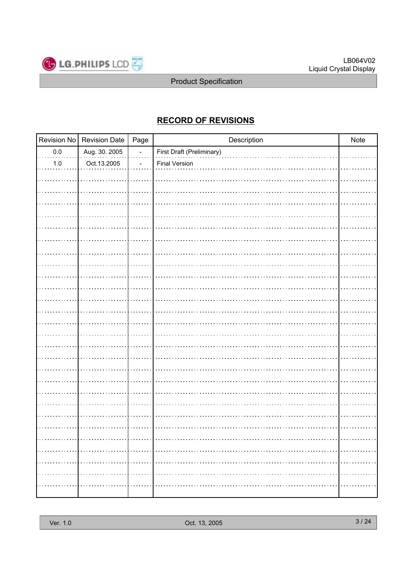

## **RECORD OF REVISIONS**

|         | Revision No   Revision Date | Page                     | Description               | Note |
|---------|-----------------------------|--------------------------|---------------------------|------|
| $0.0\,$ | Aug. 30. 2005               | $\overline{\phantom{a}}$ | First Draft (Preliminary) |      |
| $1.0\,$ | Oct.13.2005                 |                          | <b>Final Version</b>      |      |
|         |                             |                          |                           |      |
|         |                             |                          |                           |      |
|         |                             |                          |                           |      |
|         |                             |                          |                           |      |
|         |                             |                          |                           |      |
|         |                             |                          |                           |      |
|         |                             |                          |                           |      |
|         |                             |                          |                           |      |
|         |                             |                          |                           |      |
|         |                             |                          |                           |      |
|         |                             |                          |                           |      |
|         |                             |                          |                           |      |
|         |                             |                          |                           |      |
|         |                             |                          |                           |      |
|         |                             |                          |                           |      |
|         |                             |                          |                           |      |
|         |                             |                          |                           |      |
|         |                             |                          |                           |      |
|         |                             |                          |                           |      |
|         |                             |                          |                           |      |
|         |                             |                          |                           |      |
|         |                             |                          |                           |      |
|         |                             |                          |                           |      |
|         |                             |                          |                           |      |
|         |                             |                          |                           | .    |
| .       |                             |                          |                           | .    |
| .       | .                           |                          |                           | .    |
|         |                             |                          |                           |      |
|         |                             |                          |                           |      |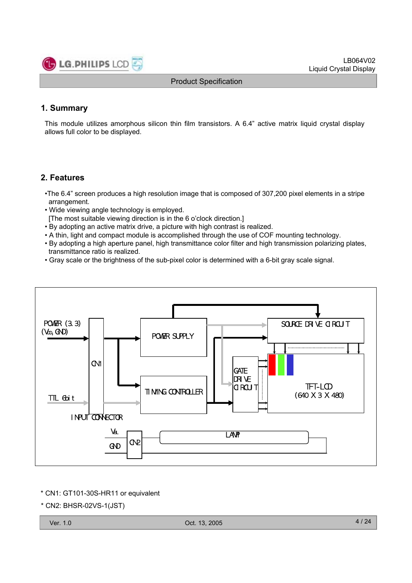

LB064V02 Liquid Crystal Display

Product Specification

#### **1. Summary**

This module utilizes amorphous silicon thin film transistors. A 6.4" active matrix liquid crystal display allows full color to be displayed.

#### **2. Features**

- •The 6.4" screen produces a high resolution image that is composed of 307,200 pixel elements in a stripe arrangement.
- Wide viewing angle technology is employed.
- [The most suitable viewing direction is in the 6 o'clock direction.]
- By adopting an active matrix drive, a picture with high contrast is realized.
- A thin, light and compact module is accomplished through the use of COF mounting technology.
- By adopting a high aperture panel, high transmittance color filter and high transmission polarizing plates, transmittance ratio is realized.
- Gray scale or the brightness of the sub-pixel color is determined with a 6-bit gray scale signal.



\* CN1: GT101-30S-HR11 or equivalent

\* CN2: BHSR-02VS-1(JST)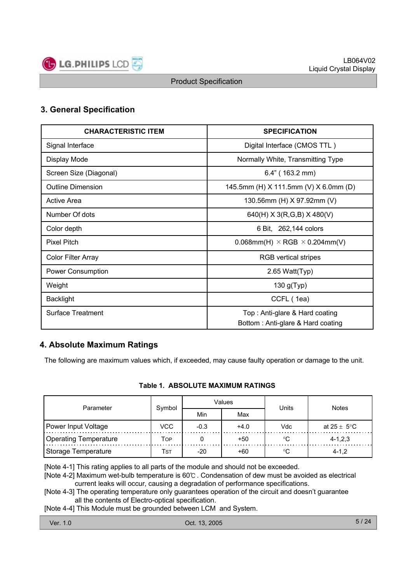

### **3. General Specification**

| <b>CHARACTERISTIC ITEM</b> | <b>SPECIFICATION</b>                                                |
|----------------------------|---------------------------------------------------------------------|
| Signal Interface           | Digital Interface (CMOS TTL)                                        |
| Display Mode               | Normally White, Transmitting Type                                   |
| Screen Size (Diagonal)     | $6.4"$ (163.2 mm)                                                   |
| <b>Outline Dimension</b>   | 145.5mm (H) X 111.5mm (V) X 6.0mm (D)                               |
| Active Area                | 130.56mm (H) X 97.92mm (V)                                          |
| Number Of dots             | 640(H) $X$ 3(R,G,B) $X$ 480(V)                                      |
| Color depth                | 6 Bit, 262,144 colors                                               |
| <b>Pixel Pitch</b>         | $0.068$ mm(H) $\times$ RGB $\times$ 0.204mm(V)                      |
| Color Filter Array         | <b>RGB</b> vertical stripes                                         |
| Power Consumption          | 2.65 Watt(Typ)                                                      |
| Weight                     | 130 $g(Typ)$                                                        |
| <b>Backlight</b>           | CCFL (1ea)                                                          |
| Surface Treatment          | Top: Anti-glare & Hard coating<br>Bottom: Anti-glare & Hard coating |

#### **4. Absolute Maximum Ratings**

The following are maximum values which, if exceeded, may cause faulty operation or damage to the unit.

#### **Table 1. ABSOLUTE MAXIMUM RATINGS**

| Parameter             | Symbol     |        | Values | Units | <b>Notes</b>            |  |  |
|-----------------------|------------|--------|--------|-------|-------------------------|--|--|
|                       |            | Min    | Max    |       |                         |  |  |
| Power Input Voltage   | <b>VCC</b> | $-0.3$ | $+4.0$ | Vdc   | at $25 \pm 5^{\circ}$ C |  |  |
| Operating Temperature | Top        |        | +50    |       | $4 - 1, 2, 3$           |  |  |
| Storage Temperature   | Tst        | $-20$  | +60    | °C    | $4 - 1.2$               |  |  |

[Note 4-1] This rating applies to all parts of the module and should not be exceeded.

[Note 4-2] Maximum wet-bulb temperature is 60℃ . Condensation of dew must be avoided as electrical current leaks will occur, causing a degradation of performance specifications.

[Note 4-3] The operating temperature only guarantees operation of the circuit and doesn't guarantee all the contents of Electro-optical specification.

[Note 4-4] This Module must be grounded between LCM and System.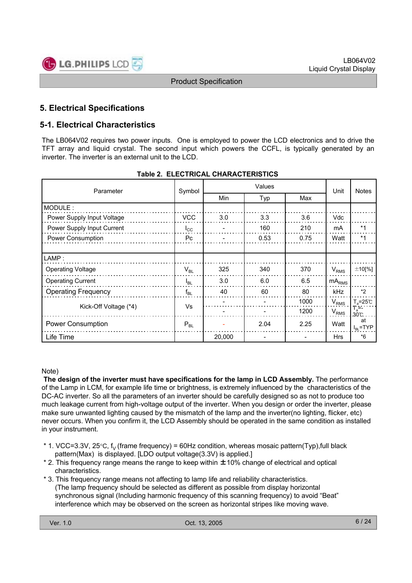

## **5. Electrical Specifications**

#### **5-1. Electrical Characteristics**

The LB064V02 requires two power inputs. One is employed to power the LCD electronics and to drive the TFT array and liquid crystal. The second input which powers the CCFL, is typically generated by an inverter. The inverter is an external unit to the LCD.

| Parameter                  | Symbol                     |        | Unit | <b>Notes</b> |                   |                           |
|----------------------------|----------------------------|--------|------|--------------|-------------------|---------------------------|
|                            |                            | Min    | Typ  | Max          |                   |                           |
| MODULE:                    |                            |        |      |              |                   |                           |
| Power Supply Input Voltage | <b>VCC</b>                 | 3.0    | 3.3  | 3.6          | <b>Vdc</b>        |                           |
| Power Supply Input Current | $I_{\rm CC}$               |        | 160  | 210          | mA                | $*1$                      |
| Power Consumption          | Pc.                        |        | 0.53 | 0.75         | Watt              | $*1$                      |
|                            |                            |        |      |              |                   |                           |
| LAMP:                      |                            |        |      |              |                   |                           |
| <b>Operating Voltage</b>   | $\mathsf{V}_{\mathsf{BL}}$ | 325    | 340  | 370          | $V_{RMS}$         | $±10$ [%]                 |
| <b>Operating Current</b>   | $I_{BL}$                   | 3.0    | 6.0  | 6.5          | mA <sub>RMS</sub> |                           |
| <b>Operating Frequency</b> | $f_{BL}$                   | 40     | 60   | 80           | <b>kHz</b>        | $*2$                      |
|                            |                            |        |      | 1000         | $V_{RMS}$         | $T_a = 25^\circ \text{C}$ |
| Kick-Off Voltage (*4)      | Vs                         |        |      | 1200         | $V_{RMS}$         | $T_a = -$<br>.30C         |
| <b>Power Consumption</b>   | $P_{BL}$                   |        | 2.04 | 2.25         | Watt              | at<br>$I_{BL}$ =TYP       |
| Life Time                  |                            | 20,000 |      |              | <b>Hrs</b>        | $*6$                      |

#### **Table 2. ELECTRICAL CHARACTERISTICS**

#### Note)

**The design of the inverter must have specifications for the lamp in LCD Assembly.** The performance of the Lamp in LCM, for example life time or brightness, is extremely influenced by the characteristics of the DC-AC inverter. So all the parameters of an inverter should be carefully designed so as not to produce too much leakage current from high-voltage output of the inverter. When you design or order the inverter, please make sure unwanted lighting caused by the mismatch of the lamp and the inverter(no lighting, flicker, etc) never occurs. When you confirm it, the LCD Assembly should be operated in the same condition as installed in your instrument.

- \* 1. VCC=3.3V, 25 $\degree$ C, f<sub>V</sub> (frame frequency) = 60Hz condition, whereas mosaic pattern(Typ),full black pattern(Max) is displayed. [LDO output voltage(3.3V) is applied.]
- \* 2. This frequency range means the range to keep within ±10% change of electrical and optical characteristics.
- \* 3. This frequency range means not affecting to lamp life and reliability characteristics. (The lamp frequency should be selected as different as possible from display horizontal synchronous signal (Including harmonic frequency of this scanning frequency) to avoid "Beat" interference which may be observed on the screen as horizontal stripes like moving wave.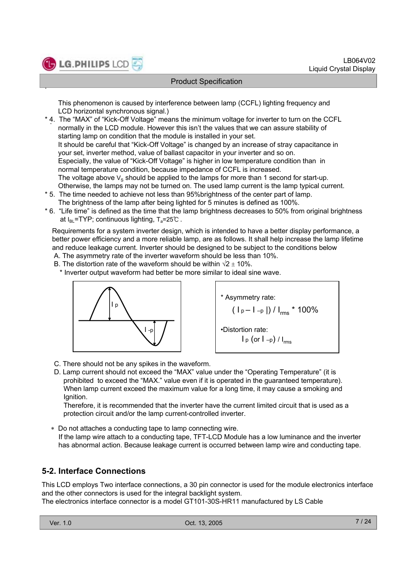

.

#### Product Specification

This phenomenon is caused by interference between lamp (CCFL) lighting frequency and LCD horizontal synchronous signal.)

- . \* 4. The "MAX" of "Kick-Off Voltage" means the minimum voltage for inverter to turn on the CCFL normally in the LCD module. However this isn't the values that we can assure stability of starting lamp on condition that the module is installed in your set. It should be careful that "Kick-Off Voltage" is changed by an increase of stray capacitance in your set, inverter method, value of ballast capacitor in your inverter and so on. Especially, the value of "Kick-Off Voltage" is higher in low temperature condition than in normal temperature condition, because impedance of CCFL is increased. The voltage above  $V_S$  should be applied to the lamps for more than 1 second for start-up. Otherwise, the lamps may not be turned on. The used lamp current is the lamp typical current.
- \* 5. The time needed to achieve not less than 95%brightness of the center part of lamp. The brightness of the lamp after being lighted for 5 minutes is defined as 100%.
- \* 6. "Life time" is defined as the time that the lamp brightness decreases to 50% from original brightness at  $I_{BL}$ =TYP; continuous lighting,  $T_a$ =25℃ .

Requirements for a system inverter design, which is intended to have a better display performance, a better power efficiency and a more reliable lamp, are as follows. It shall help increase the lamp lifetime and reduce leakage current. Inverter should be designed to be subject to the conditions below

- A. The asymmetry rate of the inverter waveform should be less than 10%.
- B. The distortion rate of the waveform should be within  $\sqrt{2} \pm 10\%$ .

\* Inverter output waveform had better be more similar to ideal sine wave.





- C. There should not be any spikes in the waveform.
- D. Lamp current should not exceed the "MAX" value under the "Operating Temperature" (it is prohibited to exceed the "MAX." value even if it is operated in the guaranteed temperature). When lamp current exceed the maximum value for a long time, it may cause a smoking and Ignition.

Therefore, it is recommended that the inverter have the current limited circuit that is used as a protection circuit and/or the lamp current-controlled inverter.

 Do not attaches a conducting tape to lamp connecting wire. If the lamp wire attach to a conducting tape, TFT-LCD Module has a low luminance and the inverter has abnormal action. Because leakage current is occurred between lamp wire and conducting tape.

#### **5-2. Interface Connections**

This LCD employs Two interface connections, a 30 pin connector is used for the module electronics interface and the other connectors is used for the integral backlight system. The electronics interface connector is a model GT101-30S-HR11 manufactured by LS Cable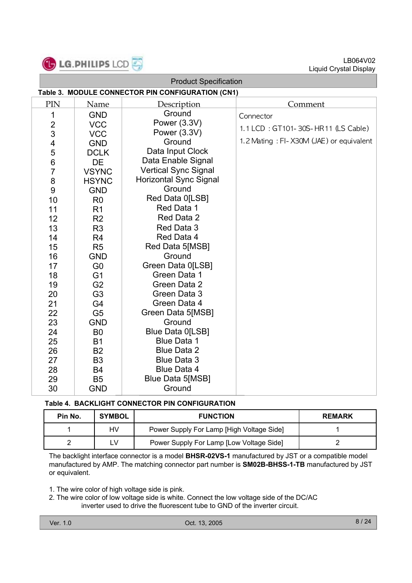

| <b>Product Specification</b> |                                                   |                               |                                         |  |  |  |  |  |
|------------------------------|---------------------------------------------------|-------------------------------|-----------------------------------------|--|--|--|--|--|
|                              | Table 3. MODULE CONNECTOR PIN CONFIGURATION (CN1) |                               |                                         |  |  |  |  |  |
| PIN                          | Name                                              | Description                   | Comment                                 |  |  |  |  |  |
| 1                            | <b>GND</b>                                        | Ground                        | Connector                               |  |  |  |  |  |
| $\overline{c}$               | <b>VCC</b>                                        | Power (3.3V)                  |                                         |  |  |  |  |  |
| 3                            | <b>VCC</b>                                        | Power (3.3V)                  | 1.1 LCD: GT101-30S-HR11 (LS Cable)      |  |  |  |  |  |
| 4                            | <b>GND</b>                                        | Ground                        | 1.2 Mating: FI-X30M (JAE) or equivalent |  |  |  |  |  |
| 5                            | <b>DCLK</b>                                       | Data Input Clock              |                                         |  |  |  |  |  |
| $\,6$                        | DE                                                | Data Enable Signal            |                                         |  |  |  |  |  |
| $\overline{7}$               | <b>VSYNC</b>                                      | <b>Vertical Sync Signal</b>   |                                         |  |  |  |  |  |
| 8                            | <b>HSYNC</b>                                      | <b>Horizontal Sync Signal</b> |                                         |  |  |  |  |  |
| $9\,$                        | <b>GND</b>                                        | Ground                        |                                         |  |  |  |  |  |
| 10                           | R <sub>0</sub>                                    | Red Data 0[LSB]               |                                         |  |  |  |  |  |
| 11                           | R <sub>1</sub>                                    | Red Data 1                    |                                         |  |  |  |  |  |
| 12                           | R <sub>2</sub>                                    | Red Data 2                    |                                         |  |  |  |  |  |
| 13                           | R <sub>3</sub>                                    | Red Data 3                    |                                         |  |  |  |  |  |
| 14                           | R <sub>4</sub>                                    | Red Data 4                    |                                         |  |  |  |  |  |
| 15                           | R <sub>5</sub>                                    | Red Data 5[MSB]               |                                         |  |  |  |  |  |
| 16                           | <b>GND</b>                                        | Ground                        |                                         |  |  |  |  |  |
| 17                           | G <sub>0</sub>                                    | Green Data 0[LSB]             |                                         |  |  |  |  |  |
| 18                           | G <sub>1</sub>                                    | Green Data 1                  |                                         |  |  |  |  |  |
| 19                           | G <sub>2</sub>                                    | Green Data 2                  |                                         |  |  |  |  |  |
| 20                           | G <sub>3</sub>                                    | Green Data 3                  |                                         |  |  |  |  |  |
| 21                           | G4                                                | Green Data 4                  |                                         |  |  |  |  |  |
| 22                           | G <sub>5</sub>                                    | Green Data 5[MSB]             |                                         |  |  |  |  |  |
| 23                           | <b>GND</b>                                        | Ground                        |                                         |  |  |  |  |  |
| 24                           | B <sub>0</sub>                                    | Blue Data 0[LSB]              |                                         |  |  |  |  |  |
| 25                           | <b>B1</b>                                         | <b>Blue Data 1</b>            |                                         |  |  |  |  |  |
| 26                           | <b>B2</b>                                         | <b>Blue Data 2</b>            |                                         |  |  |  |  |  |
| 27                           | B <sub>3</sub>                                    | <b>Blue Data 3</b>            |                                         |  |  |  |  |  |
| 28                           | <b>B4</b>                                         | <b>Blue Data 4</b>            |                                         |  |  |  |  |  |
| 29                           | <b>B5</b>                                         | Blue Data 5[MSB]              |                                         |  |  |  |  |  |
| 30                           | <b>GND</b>                                        | Ground                        |                                         |  |  |  |  |  |

#### **Table 4. BACKLIGHT CONNECTOR PIN CONFIGURATION**

| Pin No. | <b>SYMBOL</b> | <b>FUNCTION</b>                           | <b>REMARK</b> |
|---------|---------------|-------------------------------------------|---------------|
|         | HV            | Power Supply For Lamp [High Voltage Side] |               |
|         | ∟V            | Power Supply For Lamp [Low Voltage Side]  |               |

The backlight interface connector is a model **BHSR-02VS-1** manufactured by JST or a compatible model manufactured by AMP. The matching connector part number is **SM02B-BHSS-1-TB** manufactured by JST or equivalent.

1. The wire color of high voltage side is pink.

2. The wire color of low voltage side is white. Connect the low voltage side of the DC/AC inverter used to drive the fluorescent tube to GND of the inverter circuit.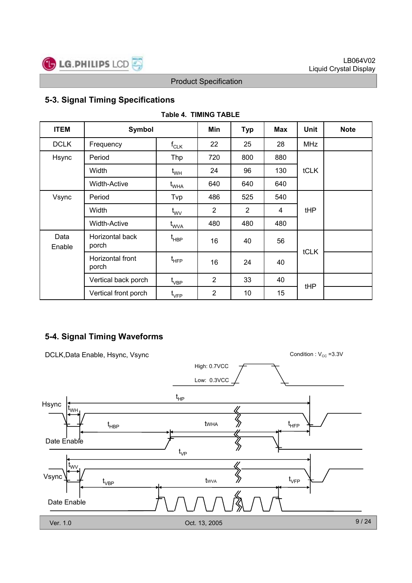

## **5-3. Signal Timing Specifications**

| <b>ITEM</b>    | <b>Symbol</b>             |                                     | Min | <b>Typ</b>     | Max | Unit        | <b>Note</b> |
|----------------|---------------------------|-------------------------------------|-----|----------------|-----|-------------|-------------|
| <b>DCLK</b>    | Frequency                 | $\mathsf{f}_{\mathsf{CLK}}$         | 22  | 25             | 28  | <b>MHz</b>  |             |
| Hsync          | Period                    | Thp                                 | 720 | 800            | 880 |             |             |
|                | Width                     | $t_{WH}$                            | 24  | 96             | 130 | <b>tCLK</b> |             |
|                | <b>Width-Active</b>       | $t_{\scriptscriptstyle \text{WHA}}$ | 640 | 640            | 640 |             |             |
| Vsync          | Period                    | Tvp                                 | 486 | 525            | 540 |             |             |
|                | Width                     | $t_{\text{WV}}$                     | 2   | $\overline{2}$ | 4   | tHP         |             |
|                | <b>Width-Active</b>       | t <sub>wva</sub>                    | 480 | 480            | 480 |             |             |
| Data<br>Enable | Horizontal back<br>porch  | t <sub>HBP</sub>                    | 16  | 40             | 56  |             |             |
|                | Horizontal front<br>porch |                                     | 16  | 24             | 40  | tCLK        |             |
|                | Vertical back porch       | $t_{\scriptstyle\mathrm{VBP}}$      | 2   | 33             | 40  |             |             |
|                | Vertical front porch      | $\mathfrak{t}_{\mathsf{VFP}}$       | 2   | 10             | 15  | tHP         |             |

#### **Table 4. TIMING TABLE**

## **5-4. Signal Timing Waveforms**

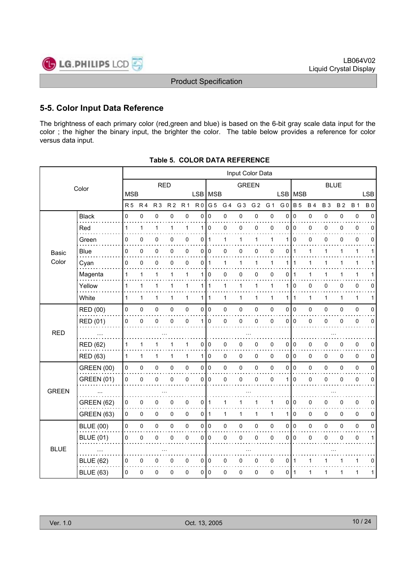

#### **5-5. Color Input Data Reference**

The brightness of each primary color (red,green and blue) is based on the 6-bit gray scale data input for the color ; the higher the binary input, the brighter the color. The table below provides a reference for color versus data input.

|              | Input Color Data  |                |                |                |                |                |                |                |              |                |                |             |                |                |              |              |              |              |             |
|--------------|-------------------|----------------|----------------|----------------|----------------|----------------|----------------|----------------|--------------|----------------|----------------|-------------|----------------|----------------|--------------|--------------|--------------|--------------|-------------|
|              | Color             | <b>RED</b>     |                |                |                |                | <b>GREEN</b>   |                |              |                |                | <b>BLUE</b> |                |                |              |              |              |              |             |
|              |                   | <b>MSB</b>     |                |                |                |                |                | LSB MSB        |              |                |                |             | <b>LSB</b>     | <b>MSB</b>     |              |              |              |              | <b>LSB</b>  |
|              |                   | R <sub>5</sub> | R <sub>4</sub> | R <sub>3</sub> | R <sub>2</sub> | R <sub>1</sub> | R <sub>0</sub> | G <sub>5</sub> | G 4          | G <sub>3</sub> | G <sub>2</sub> | G 1         | G <sub>0</sub> | <b>B</b> 5     | <b>B4</b>    | <b>B3</b>    | <b>B2</b>    | <b>B</b> 1   | <b>B0</b>   |
|              | <b>Black</b>      | $\Omega$       | 0              | $\pmb{0}$      | $\mathbf 0$    | $\pmb{0}$      | $\Omega$       | $\mathbf 0$    | 0            | 0              | 0              | $\mathbf 0$ | $\Omega$       | $\mathbf 0$    | 0            | 0            | 0            | $\pmb{0}$    | $\Omega$    |
|              | Red               | 1              | 1              | 1              | 1              | 1              | 1              | $\mathbf 0$    | 0            | 0              | 0              | 0           | 0              | $\mathbf 0$    | 0            | 0            | 0            | $\mathbf 0$  | 0           |
|              | Green             | 0              | 0              | 0              | 0              | 0              | 0              | 1              | 1            | 1              | 1              | 1           | 1              | 0              | 0            | 0            | 0            | 0            | 0           |
| Basic        | Blue              | 0              | 0              | 0              | 0              | 0              | $\overline{0}$ | l O            | 0            | 0              | 0              | 0           | 0              | $\mathbf{1}$   | 1            | 1            | 1            | 1            | 1           |
| Color        | Cyan              | $\mathbf 0$    | 0              | 0              | 0              | $\mathbf 0$    | 0              | $\mathbf{1}$   | $\mathbf{1}$ | $\mathbf{1}$   | $\mathbf{1}$   | 1           | 1              | $\mathbf 1$    | $\mathbf{1}$ | 1            | 1            | $\mathbf{1}$ | 1           |
|              | Magenta           | 1              | 1              | 1              | 1              | $\mathbf 1$    | 1              | $\mathbf 0$    | 0            | 0              | 0              | 0           | 0              | 1              | 1            | 1            | 1            | 1            | 1           |
|              | Yellow            | 1              | $\mathbf 1$    | 1              | 1              | $\mathbf{1}$   |                | 1   1          | 1            | 1              | 1              | 1           | 1              | 0              | 0            | 0            | 0            | $\mathbf 0$  | 0           |
|              | White             | $\mathbf{1}$   | $\mathbf 1$    | 1              | 1              | $\mathbf{1}$   |                | 1 1            | $\mathbf{1}$ | 1              | $\mathbf{1}$   | 1           | 1              | $\mathbf{1}$   | $\mathbf{1}$ | 1            | $\mathbf{1}$ | $\mathbf{1}$ | 1           |
|              | RED (00)          | 0              | 0              | $\mathsf 0$    | 0              | $\pmb{0}$      |                | 0 0            | 0            | 0              | $\mathsf 0$    | 0           | 0              | I٥             | 0            | 0            | 0            | $\pmb{0}$    | 0           |
|              | RED (01)          | $\pmb{0}$      | $\mathbf 0$    | $\pmb{0}$      | 0              | $\mathbf 0$    | 1 <sup>1</sup> | $\Omega$       | 0            | 0              | $\pmb{0}$      | 0           | 0              | $\Omega$       | 0            | 0            | 0            | $\mathbf 0$  | 0           |
| <b>RED</b>   |                   |                |                |                |                |                |                |                |              |                |                |             |                |                |              |              |              |              |             |
|              | <b>RED (62)</b>   | 1              | 1              | 1              |                | 1              | 0              | 0              | 0            | 0              | 0              | 0           | 0              | 0              | 0            | 0            | 0            | 0            | 0           |
|              | <b>RED (63)</b>   | $\mathbf{1}$   | $\mathbf{1}$   | 1              | 1              | $\mathbf{1}$   |                | 110            | 0            | 0              | 0              | $\Omega$    | 0              | I٥             | $\mathbf 0$  | $\Omega$     | 0            | $\mathbf 0$  | 0           |
|              | <b>GREEN (00)</b> | 0              | 0              | $\mathsf 0$    | 0              | $\pmb{0}$      |                | 0 0            | 0            | 0              | 0              | 0           | 0              | I٥             | 0            | 0            | 0            | $\pmb{0}$    | 0           |
|              | <b>GREEN (01)</b> | 0              | $\mathbf 0$    | 0              | 0              | 0              | $\overline{0}$ | $\mathbf 0$    | 0            | 0              | 0              | 0           | 1              | $\mathbf 0$    | 0            | 0            | 0            | $\pmb{0}$    | 0           |
| <b>GREEN</b> |                   |                |                |                |                |                |                |                |              |                |                |             |                |                |              |              |              |              |             |
|              | <b>GREEN (62)</b> | 0              | 0              | 0              | 0              | 0              | 0 1            |                | 1            | 1              | 1              | 1           | 0              | 0              | $\pmb{0}$    | 0            | 0            | $\pmb{0}$    | 0           |
|              | <b>GREEN (63)</b> | 0              | 0              | $\mathbf 0$    | 0              | 0              | 0 I            | $\mathbf{1}$   | $\mathbf{1}$ | 1              | $\mathbf{1}$   | 1           | 1              | $\mathbf 0$    | 0            | $\Omega$     | 0            | $\mathbf 0$  | 0           |
|              | <b>BLUE (00)</b>  | $\mathsf 0$    | 0              | $\mathsf 0$    | 0              | $\mathsf 0$    |                | 0 0            | 0            | 0              | 0              | 0           | 0              | $\overline{0}$ | 0            | $\mathbf{0}$ | 0            | $\pmb{0}$    | $\mathbf 0$ |
|              | <b>BLUE (01)</b>  | 0              | 0              | 0              | 0              | $\pmb{0}$      | 0              | $\mathbf 0$    | 0            | 0              | 0              | 0           | 0              | $\mathbf 0$    | 0            | 0            | 0            | $\pmb{0}$    | 1           |
| <b>BLUE</b>  |                   |                |                |                |                |                |                |                |              |                |                |             |                |                |              |              |              |              |             |
|              | <b>BLUE (62)</b>  | 0              | 0              | 0              | 0              | 0              |                | 0 0            | 0            | 0              | 0              | 0           | 0              | $\mathbf 1$    | 1            | 1            | 1            | 1            | 0           |
|              | <b>BLUE (63)</b>  | 0              | 0              | $\mathbf 0$    | 0              | 0              |                | 0   0          | 0            | 0              | 0              | 0           | 0              | $\mathbf{1}$   | 1            | 1            | 1            | 1            | 1           |

| Table 5. COLOR DATA REFERENCE |
|-------------------------------|
|                               |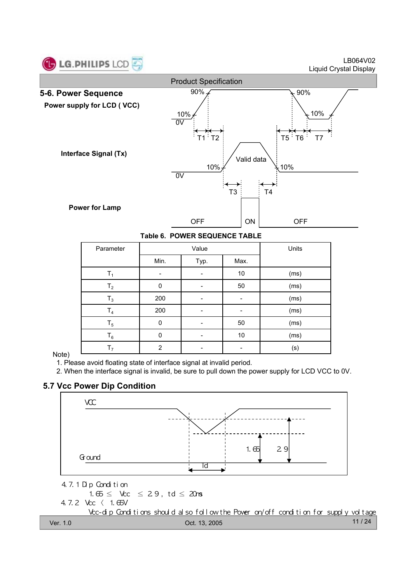

LB064V02 Liquid Crystal Display



|  | Table 6. POWER SEQUENCE TABLE |  |
|--|-------------------------------|--|
|  |                               |  |

| Parameter      |          | Value | Units |      |
|----------------|----------|-------|-------|------|
|                | Min.     | Typ.  | Max.  |      |
| Τ,             |          |       | 10    | (ms) |
| T <sub>2</sub> | $\Omega$ |       | 50    | (ms) |
| $T_3$          | 200      |       |       | (ms) |
| $T_4$          | 200      |       |       | (ms) |
| $T_5$          | $\Omega$ |       | 50    | (ms) |
| $T_6$          | 0        |       | 10    | (ms) |
| T <sub>7</sub> | 2        |       |       | (s)  |

#### Note)

1. Please avoid floating state of interface signal at invalid period.

2. When the interface signal is invalid, be sure to pull down the power supply for LCD VCC to 0V.

#### **5.7 Vcc Power Dip Condition**

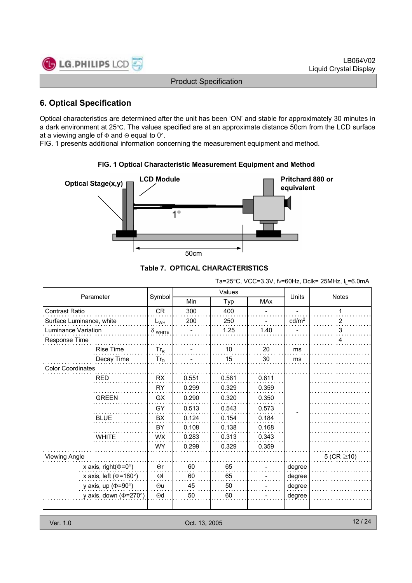

## **6. Optical Specification**

Optical characteristics are determined after the unit has been 'ON' and stable for approximately 30 minutes in a dark environment at 25°C. The values specified are at an approximate distance 50cm from the LCD surface at a viewing angle of  $\Phi$  and  $\Theta$  equal to 0°.

FIG. 1 presents additional information concerning the measurement equipment and method.



#### **FIG. 1 Optical Characteristic Measurement Equipment and Method**

**Table 7. OPTICAL CHARACTERISTICS**

Ta=25°C, VCC=3.3V, fv=60Hz, Dclk= 25MHz,  $I_1$ =6.0mA

|                              |                |            | Values |            |                   |                  |
|------------------------------|----------------|------------|--------|------------|-------------------|------------------|
| Parameter                    | Symbol         | <b>Min</b> | Typ    | <b>MAx</b> | Units             | <b>Notes</b>     |
| <b>Contrast Ratio</b>        | <b>CR</b>      | 300        | 400    |            |                   | 1                |
| Surface Luminance, white     | $L_{WH}$       | 200        | 250    |            | cd/m <sup>2</sup> | 2                |
| Luminance Variation          | $\delta$ white |            | 1.25   | 1.40       |                   | 3                |
| Response Time                |                |            |        |            |                   | 4                |
| <b>Rise Time</b>             | $Tr_R$         |            | 10     | 20         | ms                |                  |
| Decay Time                   | $Tr_D$         |            | 15     | 30         | ms                |                  |
| <b>Color Coordinates</b>     |                |            |        |            |                   |                  |
| <b>RED</b>                   | <b>RX</b>      | 0.551      | 0.581  | 0.611      |                   |                  |
|                              | <b>RY</b>      | 0.299      | 0.329  | 0.359      |                   |                  |
| <b>GREEN</b>                 | GX             | 0.290      | 0.320  | 0.350      |                   |                  |
|                              | GY             | 0.513      | 0.543  | 0.573      |                   |                  |
| <b>BLUE</b>                  | <b>BX</b>      | 0.124      | 0.154  | 0.184      |                   |                  |
|                              | BY             | 0.108      | 0.138  | 0.168      |                   |                  |
| <b>WHITE</b>                 | <b>WX</b>      | 0.283      | 0.313  | 0.343      |                   |                  |
|                              | <b>WY</b>      | 0.299      | 0.329  | 0.359      |                   |                  |
| <b>Viewing Angle</b>         |                |            |        |            |                   | 5 (CR $\geq$ 10) |
| x axis, right( $\Phi$ =0°)   | $\Theta$ r     | 60         | 65     |            | degree            |                  |
| x axis, left ( $\Phi$ =180°) | $\Theta$       | 60         | 65     |            | degree            |                  |
| y axis, up ( $\Phi$ =90°)    | $\Theta$ u     | 45         | 50     |            | degree            |                  |
| y axis, down ( $\Phi$ =270°) | $\Theta$ d     | 50         | 60     |            | degree            |                  |
|                              |                |            |        |            |                   |                  |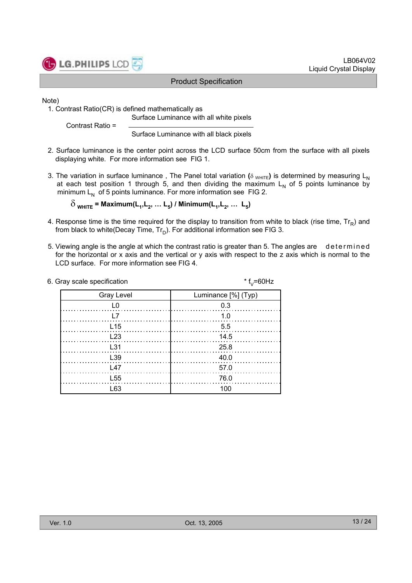

Note)

1. Contrast Ratio(CR) is defined mathematically as Surface Luminance with all white pixels

Contrast Ratio =

Surface Luminance with all black pixels

- 2. Surface luminance is the center point across the LCD surface 50cm from the surface with all pixels displaying white. For more information see FIG 1.
- 3. The variation in surface luminance, The Panel total variation ( $\delta$  WHITE) is determined by measuring L<sub>N</sub> at each test position 1 through 5, and then dividing the maximum  $L<sub>N</sub>$  of 5 points luminance by minimum  $L_N$  of 5 points luminance. For more information see FIG 2.

 $\delta$ <sub>WHITE</sub> = Maximum(L<sub>1</sub>, L<sub>2</sub>, ... L<sub>5</sub>) / Minimum(L<sub>1</sub>, L<sub>2</sub>, ... L<sub>5</sub>)

- 4. Response time is the time required for the display to transition from white to black (rise time,  $Tr_B$ ) and from black to white(Decay Time,  $Tr_D$ ). For additional information see FIG 3.
- 5. Viewing angle is the angle at which the contrast ratio is greater than 5. The angles are determined for the horizontal or x axis and the vertical or y axis with respect to the z axis which is normal to the LCD surface. For more information see FIG 4.

| 6. Gray scale specification | * $f_v = 60$ Hz     |
|-----------------------------|---------------------|
| <b>Gray Level</b>           | Luminance [%] (Typ) |
|                             | 0.3                 |
|                             | 1.0                 |
| $L$ 15                      | 5.5                 |
| L23                         | 14.5                |
| L31                         | 25.8                |
| L39                         | 40.0                |
| 147                         | 57.0                |
| L <sub>55</sub>             | 76.0                |
| L63                         | 100                 |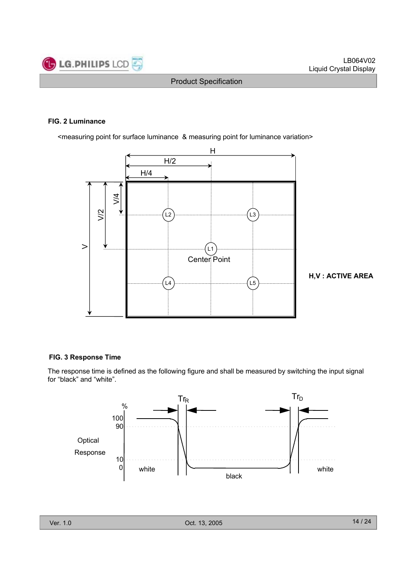

#### **FIG. 2 Luminance**

<measuring point for surface luminance & measuring point for luminance variation>



**H,V : ACTIVE AREA**

#### **FIG. 3 Response Time**

The response time is defined as the following figure and shall be measured by switching the input signal for "black" and "white".

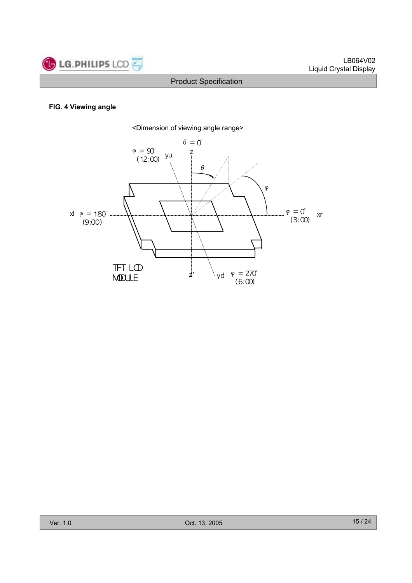

#### **FIG. 4 Viewing angle**

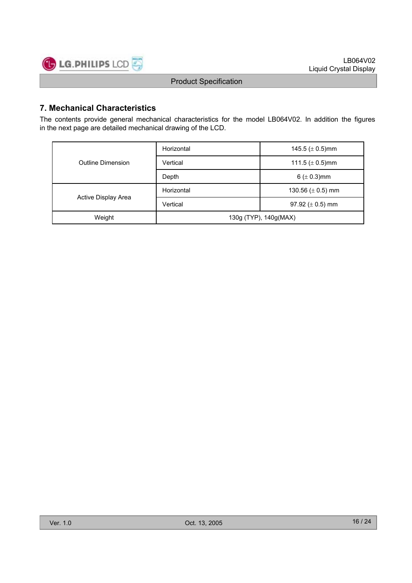

## **7. Mechanical Characteristics**

The contents provide general mechanical characteristics for the model LB064V02. In addition the figures in the next page are detailed mechanical drawing of the LCD.

| Outline Dimension   | Horizontal                        | 145.5 ( $\pm$ 0.5)mm   |  |  |
|---------------------|-----------------------------------|------------------------|--|--|
|                     | Vertical                          | 111.5 ( $\pm$ 0.5)mm   |  |  |
|                     | Depth                             | 6 ( $\pm$ 0.3)mm       |  |  |
|                     | Horizontal                        | 130.56 ( $\pm$ 0.5) mm |  |  |
| Active Display Area | Vertical<br>97.92 ( $\pm$ 0.5) mm |                        |  |  |
| Weight              | 130g (TYP), 140g(MAX)             |                        |  |  |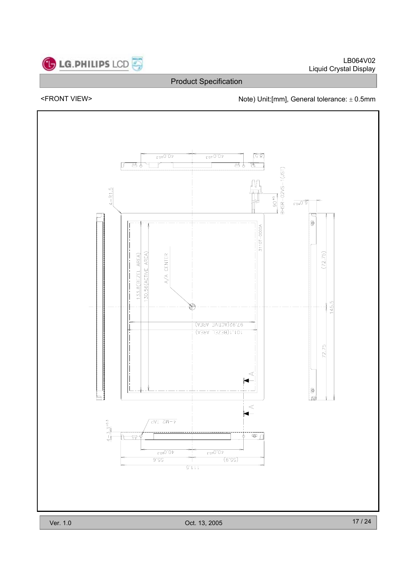

<FRONT VIEW> <parallel to the Note) Unit:[mm], General tolerance:  $\pm$  0.5mm

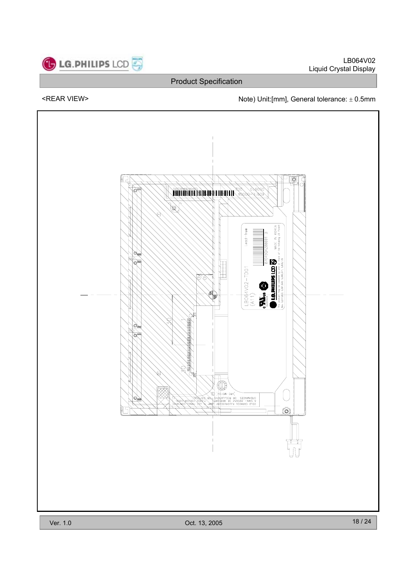

LB064V02 Liquid Crystal Display

## Product Specification

## <REAR VIEW> Note) Unit:[mm], General tolerance:  $\pm$  0.5mm

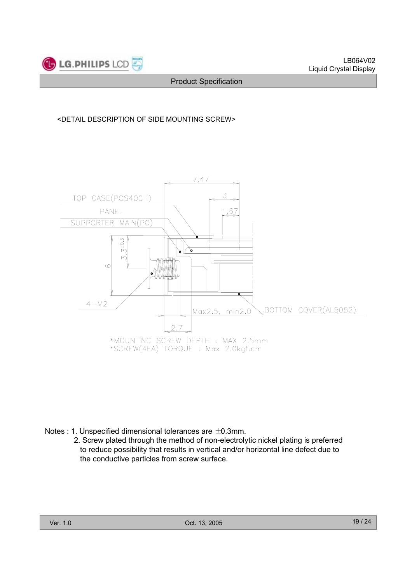

#### <DETAIL DESCRIPTION OF SIDE MOUNTING SCREW>



Notes : 1. Unspecified dimensional tolerances are ±0.3mm.

2. Screw plated through the method of non-electrolytic nickel plating is preferred to reduce possibility that results in vertical and/or horizontal line defect due to the conductive particles from screw surface.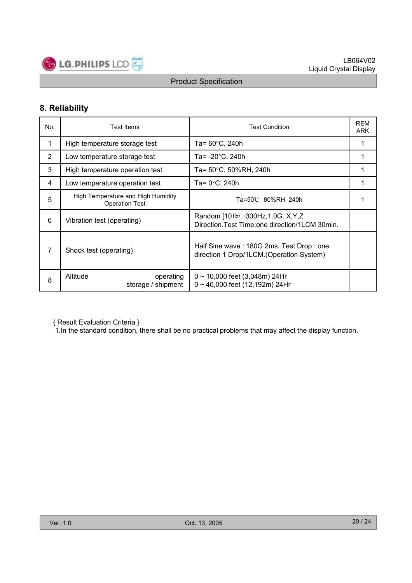

## **8. Reliability**

| No. | <b>Test Items</b>                                           | <b>Test Condition</b>                                                                                   | <b>REM</b><br><b>ARK</b> |
|-----|-------------------------------------------------------------|---------------------------------------------------------------------------------------------------------|--------------------------|
| 1   | High temperature storage test                               | Ta= 60°C, 240h                                                                                          |                          |
| 2   | Low temperature storage test                                | Ta= -20°C, 240h                                                                                         |                          |
| 3   | High temperature operation test                             | Ta= 50°C, 50%RH, 240h                                                                                   |                          |
| 4   | Low temperature operation test                              | Ta= 0°C, 240h                                                                                           |                          |
| 5   | High Temperature and High Humidity<br><b>Operation Test</b> | Ta=50℃ 80%RH 240h                                                                                       |                          |
| 6   | Vibration test (operating)                                  | Random $[10Hz \leftrightarrow 300Hz, 1.0G$ . X, Y, Z<br>Direction. Test Time: one direction/1LCM 30min. |                          |
| 7   | Shock test (operating)                                      | Half Sine wave: 180G 2ms. Test Drop: one<br>direction 1 Drop/1LCM. (Operation System)                   |                          |
| 8   | Altitude<br>operating<br>storage / shipment                 | $0 \sim 10,000$ feet (3,048m) 24Hr<br>$0 \sim 40,000$ feet (12,192m) 24Hr                               |                          |

{ Result Evaluation Criteria }

1.In the standard condition, there shall be no practical problems that may affect the display function.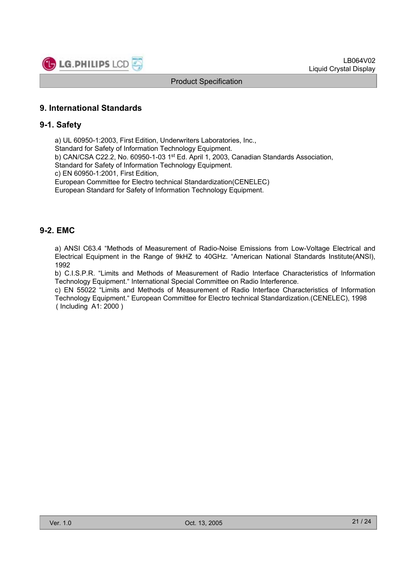

#### **9. International Standards**

#### **9-1. Safety**

a) UL 60950-1:2003, First Edition, Underwriters Laboratories, Inc., Standard for Safety of Information Technology Equipment. b) CAN/CSA C22.2, No. 60950-1-03 1st Ed. April 1, 2003, Canadian Standards Association, Standard for Safety of Information Technology Equipment. c) EN 60950-1:2001, First Edition, European Committee for Electro technical Standardization(CENELEC) European Standard for Safety of Information Technology Equipment.

#### **9-2. EMC**

a) ANSI C63.4 "Methods of Measurement of Radio-Noise Emissions from Low-Voltage Electrical and Electrical Equipment in the Range of 9kHZ to 40GHz. "American National Standards Institute(ANSI), 1992

b) C.I.S.P.R. "Limits and Methods of Measurement of Radio Interface Characteristics of Information Technology Equipment." International Special Committee on Radio Interference.

c) EN 55022 "Limits and Methods of Measurement of Radio Interface Characteristics of Information Technology Equipment." European Committee for Electro technical Standardization.(CENELEC), 1998 ( Including A1: 2000 )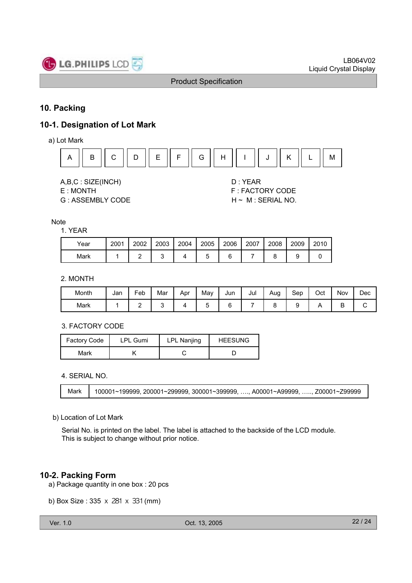

#### **10. Packing**

## **10-1. Designation of Lot Mark**

a) Lot Mark



A,B,C : SIZE(INCH) D : YEAR

G : ASSEMBLY CODE H ~ M : SERIAL NO.

E : MONTH F : FACTORY CODE

#### **Note**

#### 1. YEAR

| Year | 2001 | 2002 | 2003 | 2004 | 2005 | 2006 | 2007 | 2008 | 2009 | 2010 |
|------|------|------|------|------|------|------|------|------|------|------|
| Mark |      |      |      |      |      |      |      |      |      |      |

#### 2. MONTH

| Month | Jan | -<br>Feb | Mar | Apr | May | Jun | Jul | Aug | Sep | Oct | Nov | Dec |
|-------|-----|----------|-----|-----|-----|-----|-----|-----|-----|-----|-----|-----|
| Mark  |     | -        |     |     | ີ   |     |     |     | c   |     | -   | ◡   |

#### 3. FACTORY CODE

| <b>Factory Code</b> | <b>LPL Gumi</b> | LPL Nanjing | <b>HEESUNG</b> |
|---------------------|-----------------|-------------|----------------|
| Mark                |                 |             |                |

4. SERIAL NO.

Mark | 100001~199999, 200001~299999, 300001~399999, …., A00001~A99999, ….., Z00001~Z99999

#### b) Location of Lot Mark

Serial No. is printed on the label. The label is attached to the backside of the LCD module. This is subject to change without prior notice.

#### **10-2. Packing Form**

- a) Package quantity in one box : 20 pcs
- b) Box Size : 335 x 281 x 331 (mm)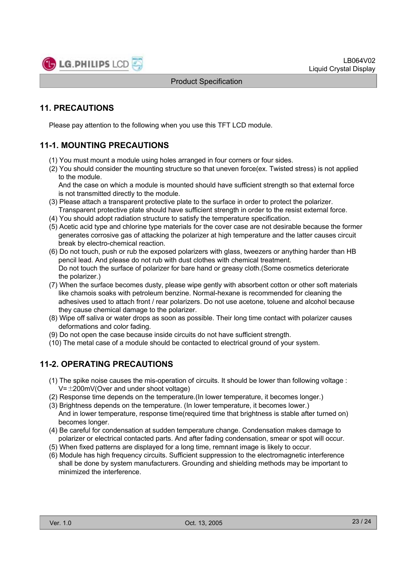

## **11. PRECAUTIONS**

Please pay attention to the following when you use this TFT LCD module.

## **11-1. MOUNTING PRECAUTIONS**

- (1) You must mount a module using holes arranged in four corners or four sides.
- (2) You should consider the mounting structure so that uneven force(ex. Twisted stress) is not applied to the module.

And the case on which a module is mounted should have sufficient strength so that external force is not transmitted directly to the module.

- (3) Please attach a transparent protective plate to the surface in order to protect the polarizer. Transparent protective plate should have sufficient strength in order to the resist external force.
- (4) You should adopt radiation structure to satisfy the temperature specification.
- (5) Acetic acid type and chlorine type materials for the cover case are not desirable because the former generates corrosive gas of attacking the polarizer at high temperature and the latter causes circuit break by electro-chemical reaction.
- (6) Do not touch, push or rub the exposed polarizers with glass, tweezers or anything harder than HB pencil lead. And please do not rub with dust clothes with chemical treatment. Do not touch the surface of polarizer for bare hand or greasy cloth.(Some cosmetics deteriorate the polarizer.)
- (7) When the surface becomes dusty, please wipe gently with absorbent cotton or other soft materials like chamois soaks with petroleum benzine. Normal-hexane is recommended for cleaning the adhesives used to attach front / rear polarizers. Do not use acetone, toluene and alcohol because they cause chemical damage to the polarizer.
- (8) Wipe off saliva or water drops as soon as possible. Their long time contact with polarizer causes deformations and color fading.
- (9) Do not open the case because inside circuits do not have sufficient strength.
- (10) The metal case of a module should be contacted to electrical ground of your system.

## **11-2. OPERATING PRECAUTIONS**

- (1) The spike noise causes the mis-operation of circuits. It should be lower than following voltage :  $V=\pm 200$ mV(Over and under shoot voltage)
- (2) Response time depends on the temperature.(In lower temperature, it becomes longer.)
- (3) Brightness depends on the temperature. (In lower temperature, it becomes lower.) And in lower temperature, response time(required time that brightness is stable after turned on) becomes longer.
- (4) Be careful for condensation at sudden temperature change. Condensation makes damage to polarizer or electrical contacted parts. And after fading condensation, smear or spot will occur.
- (5) When fixed patterns are displayed for a long time, remnant image is likely to occur.
- (6) Module has high frequency circuits. Sufficient suppression to the electromagnetic interference shall be done by system manufacturers. Grounding and shielding methods may be important to minimized the interference.